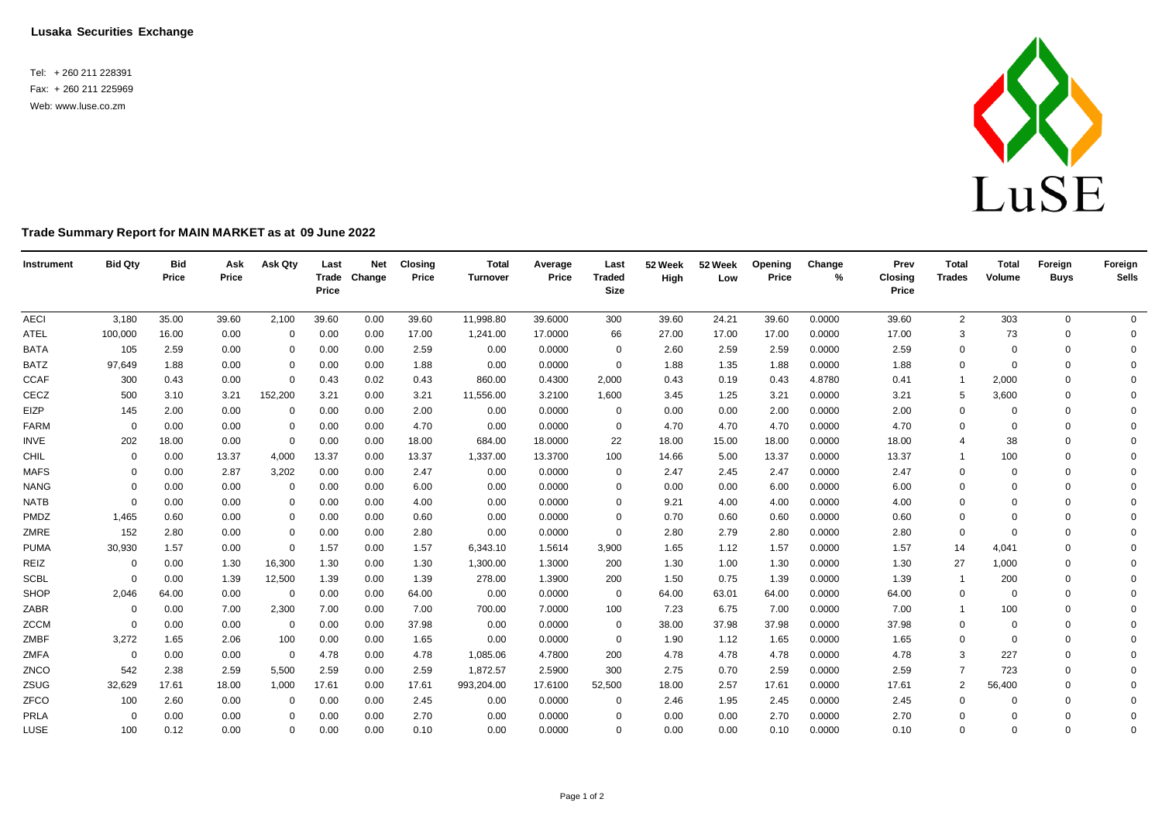**Lusaka Securities Exchange**

Tel: + 260 211 228391 Fax: + 260 211 225969 Web: [www.luse.co.zm](http://www.luse.co.zm/)



## **Trade Summary Report for MAIN MARKET as at 09 June 2022**

| Instrument  | <b>Bid Qty</b> | <b>Bid</b><br>Price | Ask<br>Price | Ask Qty        | Last<br>Price | <b>Net</b><br>Trade Change | <b>Closing</b><br>Price | <b>Total</b><br>Turnover | Average<br>Price | Last<br><b>Traded</b><br><b>Size</b> | 52 Week<br>High | 52 Week<br>Low | Opening<br>Price | Change<br>% | Prev<br><b>Closing</b><br>Price | <b>Total</b><br><b>Trades</b> | <b>Total</b><br>Volume | Foreign<br><b>Buys</b> | Foreign<br><b>Sells</b> |
|-------------|----------------|---------------------|--------------|----------------|---------------|----------------------------|-------------------------|--------------------------|------------------|--------------------------------------|-----------------|----------------|------------------|-------------|---------------------------------|-------------------------------|------------------------|------------------------|-------------------------|
| <b>AECI</b> | 3,180          | 35.00               | 39.60        | 2,100          | 39.60         | 0.00                       | 39.60                   | 11,998.80                | 39.6000          | 300                                  | 39.60           | 24.21          | 39.60            | 0.0000      | 39.60                           | $\overline{2}$                | 303                    | $\mathbf 0$            | $\overline{0}$          |
| <b>ATEL</b> | 100,000        | 16.00               | 0.00         | $\Omega$       | 0.00          | 0.00                       | 17.00                   | 1,241.00                 | 17.0000          | 66                                   | 27.00           | 17.00          | 17.00            | 0.0000      | 17.00                           | 3                             | 73                     | $\mathbf 0$            | 0                       |
| <b>BATA</b> | 105            | 2.59                | 0.00         | 0              | 0.00          | 0.00                       | 2.59                    | 0.00                     | 0.0000           | 0                                    | 2.60            | 2.59           | 2.59             | 0.0000      | 2.59                            | $\mathbf 0$                   | $\Omega$               | $\mathbf 0$            | $\Omega$                |
| <b>BATZ</b> | 97,649         | 1.88                | 0.00         | $\Omega$       | 0.00          | 0.00                       | 1.88                    | 0.00                     | 0.0000           | $\mathbf 0$                          | 1.88            | 1.35           | 1.88             | 0.0000      | 1.88                            | 0                             | $\Omega$               | $\Omega$               | $\Omega$                |
| <b>CCAF</b> | 300            | 0.43                | 0.00         | $\mathbf 0$    | 0.43          | 0.02                       | 0.43                    | 860.00                   | 0.4300           | 2,000                                | 0.43            | 0.19           | 0.43             | 4.8780      | 0.41                            | $\overline{1}$                | 2,000                  | $\Omega$               | $\Omega$                |
| CECZ        | 500            | 3.10                | 3.21         | 152,200        | 3.21          | 0.00                       | 3.21                    | 11,556.00                | 3.2100           | 1,600                                | 3.45            | 1.25           | 3.21             | 0.0000      | 3.21                            | 5                             | 3,600                  | $\Omega$               | $\Omega$                |
| EIZP        | 145            | 2.00                | 0.00         | 0              | 0.00          | 0.00                       | 2.00                    | 0.00                     | 0.0000           | $\mathbf{0}$                         | 0.00            | 0.00           | 2.00             | 0.0000      | 2.00                            | 0                             | $\Omega$               | $\Omega$               | $\Omega$                |
| <b>FARM</b> | $\Omega$       | 0.00                | 0.00         | $\Omega$       | 0.00          | 0.00                       | 4.70                    | 0.00                     | 0.0000           | $\overline{0}$                       | 4.70            | 4.70           | 4.70             | 0.0000      | 4.70                            | $\Omega$                      | $\Omega$               | $\Omega$               | $\Omega$                |
| <b>INVE</b> | 202            | 18.00               | 0.00         | $\overline{0}$ | 0.00          | 0.00                       | 18.00                   | 684.00                   | 18.0000          | 22                                   | 18.00           | 15.00          | 18.00            | 0.0000      | 18.00                           | $\overline{4}$                | 38                     | $\Omega$               | $\Omega$                |
| CHIL        | $\Omega$       | 0.00                | 13.37        | 4,000          | 13.37         | 0.00                       | 13.37                   | 1,337.00                 | 13.3700          | 100                                  | 14.66           | 5.00           | 13.37            | 0.0000      | 13.37                           |                               | 100                    | $\Omega$               | $\Omega$                |
| <b>MAFS</b> | 0              | 0.00                | 2.87         | 3,202          | 0.00          | 0.00                       | 2.47                    | 0.00                     | 0.0000           | 0                                    | 2.47            | 2.45           | 2.47             | 0.0000      | 2.47                            | $\mathbf 0$                   | $\Omega$               | $\Omega$               | $\Omega$                |
| <b>NANG</b> | $\Omega$       | 0.00                | 0.00         | $\Omega$       | 0.00          | 0.00                       | 6.00                    | 0.00                     | 0.0000           | $\Omega$                             | 0.00            | 0.00           | 6.00             | 0.0000      | 6.00                            | 0                             | $\Omega$               | $\Omega$               | $\Omega$                |
| <b>NATB</b> | $\Omega$       | 0.00                | 0.00         | 0              | 0.00          | 0.00                       | 4.00                    | 0.00                     | 0.0000           | $\Omega$                             | 9.21            | 4.00           | 4.00             | 0.0000      | 4.00                            | $\mathbf 0$                   | $\Omega$               | $\Omega$               | $\Omega$                |
| PMDZ        | 1,465          | 0.60                | 0.00         | $\Omega$       | 0.00          | 0.00                       | 0.60                    | 0.00                     | 0.0000           | $\Omega$                             | 0.70            | 0.60           | 0.60             | 0.0000      | 0.60                            | $\mathbf 0$                   | $\Omega$               | $\Omega$               | $\Omega$                |
| ZMRE        | 152            | 2.80                | 0.00         | 0              | 0.00          | 0.00                       | 2.80                    | 0.00                     | 0.0000           | $\Omega$                             | 2.80            | 2.79           | 2.80             | 0.0000      | 2.80                            | $\mathbf 0$                   | $\Omega$               | $\Omega$               | $\Omega$                |
| <b>PUMA</b> | 30,930         | 1.57                | 0.00         | $\overline{0}$ | 1.57          | 0.00                       | 1.57                    | 6,343.10                 | 1.5614           | 3,900                                | 1.65            | 1.12           | 1.57             | 0.0000      | 1.57                            | 14                            | 4.041                  | $\Omega$               | $\Omega$                |
| REIZ        | $\mathbf 0$    | 0.00                | 1.30         | 16,300         | 1.30          | 0.00                       | 1.30                    | 1,300.00                 | 1.3000           | 200                                  | 1.30            | 1.00           | 1.30             | 0.0000      | 1.30                            | 27                            | 1,000                  | $\Omega$               | $\Omega$                |
| <b>SCBL</b> | $\Omega$       | 0.00                | 1.39         | 12,500         | 1.39          | 0.00                       | 1.39                    | 278.00                   | 1.3900           | 200                                  | 1.50            | 0.75           | 1.39             | 0.0000      | 1.39                            | $\mathbf{1}$                  | 200                    | $\Omega$               | $\Omega$                |
| SHOP        | 2,046          | 64.00               | 0.00         | 0              | 0.00          | 0.00                       | 64.00                   | 0.00                     | 0.0000           | $\overline{0}$                       | 64.00           | 63.01          | 64.00            | 0.0000      | 64.00                           | $\mathbf 0$                   | $\Omega$               | $\Omega$               | $\Omega$                |
| ZABR        | $\mathbf 0$    | 0.00                | 7.00         | 2,300          | 7.00          | 0.00                       | 7.00                    | 700.00                   | 7.0000           | 100                                  | 7.23            | 6.75           | 7.00             | 0.0000      | 7.00                            | $\mathbf{1}$                  | 100                    | $\Omega$               | $\Omega$                |
| <b>ZCCM</b> | $\Omega$       | 0.00                | 0.00         | $\overline{0}$ | 0.00          | 0.00                       | 37.98                   | 0.00                     | 0.0000           | $\overline{0}$                       | 38.00           | 37.98          | 37.98            | 0.0000      | 37.98                           | $\mathbf 0$                   | $\Omega$               | $\Omega$               | $\Omega$                |
| ZMBF        | 3,272          | 1.65                | 2.06         | 100            | 0.00          | 0.00                       | 1.65                    | 0.00                     | 0.0000           | $\overline{0}$                       | 1.90            | 1.12           | 1.65             | 0.0000      | 1.65                            | $\mathbf 0$                   | $\Omega$               | $\Omega$               | $\Omega$                |
| ZMFA        | $\overline{0}$ | 0.00                | 0.00         | 0              | 4.78          | 0.00                       | 4.78                    | 1,085.06                 | 4.7800           | 200                                  | 4.78            | 4.78           | 4.78             | 0.0000      | 4.78                            | 3                             | 227                    | $\Omega$               | $\Omega$                |
| ZNCO        | 542            | 2.38                | 2.59         | 5,500          | 2.59          | 0.00                       | 2.59                    | 1,872.57                 | 2.5900           | 300                                  | 2.75            | 0.70           | 2.59             | 0.0000      | 2.59                            | $\overline{7}$                | 723                    | $\Omega$               | $\Omega$                |
| ZSUG        | 32,629         | 17.61               | 18.00        | 1,000          | 17.61         | 0.00                       | 17.61                   | 993,204.00               | 17.6100          | 52,500                               | 18.00           | 2.57           | 17.61            | 0.0000      | 17.61                           | 2                             | 56,400                 | $\Omega$               | $\Omega$                |
| ZFCO        | 100            | 2.60                | 0.00         | 0              | 0.00          | 0.00                       | 2.45                    | 0.00                     | 0.0000           | 0                                    | 2.46            | 1.95           | 2.45             | 0.0000      | 2.45                            | $\mathbf 0$                   |                        | $\Omega$               | $\Omega$                |
| PRLA        | 0              | 0.00                | 0.00         | $\Omega$       | 0.00          | 0.00                       | 2.70                    | 0.00                     | 0.0000           | $\Omega$                             | 0.00            | 0.00           | 2.70             | 0.0000      | 2.70                            | $\Omega$                      | $\Omega$               | $\Omega$               | $\mathbf 0$             |
| LUSE        | 100            | 0.12                | 0.00         | $\Omega$       | 0.00          | 0.00                       | 0.10                    | 0.00                     | 0.0000           | $\Omega$                             | 0.00            | 0.00           | 0.10             | 0.0000      | 0.10                            | $\mathbf 0$                   | $\Omega$               | $\Omega$               | $\Omega$                |